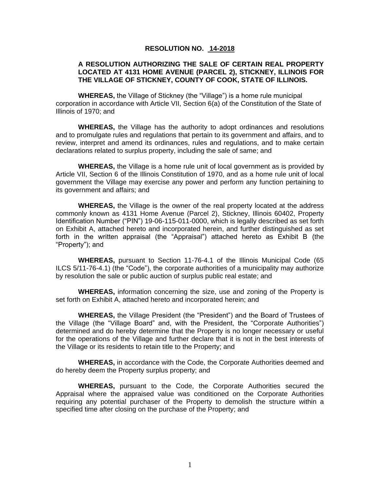## **RESOLUTION NO. 14-2018**

# **A RESOLUTION AUTHORIZING THE SALE OF CERTAIN REAL PROPERTY LOCATED AT 4131 HOME AVENUE (PARCEL 2), STICKNEY, ILLINOIS FOR THE VILLAGE OF STICKNEY, COUNTY OF COOK, STATE OF ILLINOIS.**

**WHEREAS,** the Village of Stickney (the "Village") is a home rule municipal corporation in accordance with Article VII, Section 6(a) of the Constitution of the State of Illinois of 1970; and

**WHEREAS,** the Village has the authority to adopt ordinances and resolutions and to promulgate rules and regulations that pertain to its government and affairs, and to review, interpret and amend its ordinances, rules and regulations, and to make certain declarations related to surplus property, including the sale of same; and

**WHEREAS,** the Village is a home rule unit of local government as is provided by Article VII, Section 6 of the Illinois Constitution of 1970, and as a home rule unit of local government the Village may exercise any power and perform any function pertaining to its government and affairs; and

**WHEREAS,** the Village is the owner of the real property located at the address commonly known as 4131 Home Avenue (Parcel 2), Stickney, Illinois 60402, Property Identification Number ("PIN") 19-06-115-011-0000, which is legally described as set forth on Exhibit A, attached hereto and incorporated herein, and further distinguished as set forth in the written appraisal (the "Appraisal") attached hereto as Exhibit B (the "Property"); and

**WHEREAS,** pursuant to Section 11-76-4.1 of the Illinois Municipal Code (65 ILCS 5/11-76-4.1) (the "Code"), the corporate authorities of a municipality may authorize by resolution the sale or public auction of surplus public real estate; and

**WHEREAS,** information concerning the size, use and zoning of the Property is set forth on Exhibit A, attached hereto and incorporated herein; and

**WHEREAS,** the Village President (the "President") and the Board of Trustees of the Village (the "Village Board" and, with the President, the "Corporate Authorities") determined and do hereby determine that the Property is no longer necessary or useful for the operations of the Village and further declare that it is not in the best interests of the Village or its residents to retain title to the Property; and

**WHEREAS,** in accordance with the Code, the Corporate Authorities deemed and do hereby deem the Property surplus property; and

**WHEREAS,** pursuant to the Code, the Corporate Authorities secured the Appraisal where the appraised value was conditioned on the Corporate Authorities requiring any potential purchaser of the Property to demolish the structure within a specified time after closing on the purchase of the Property; and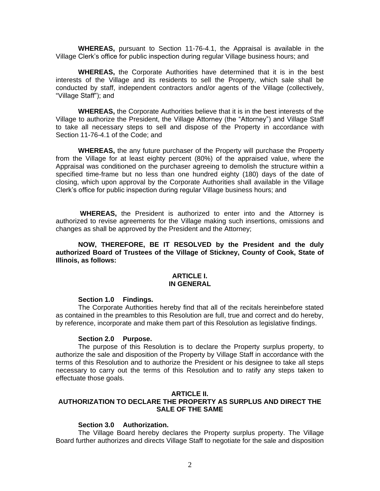**WHEREAS,** pursuant to Section 11-76-4.1, the Appraisal is available in the Village Clerk's office for public inspection during regular Village business hours; and

**WHEREAS,** the Corporate Authorities have determined that it is in the best interests of the Village and its residents to sell the Property, which sale shall be conducted by staff, independent contractors and/or agents of the Village (collectively, "Village Staff"); and

**WHEREAS,** the Corporate Authorities believe that it is in the best interests of the Village to authorize the President, the Village Attorney (the "Attorney") and Village Staff to take all necessary steps to sell and dispose of the Property in accordance with Section 11-76-4.1 of the Code; and

**WHEREAS,** the any future purchaser of the Property will purchase the Property from the Village for at least eighty percent (80%) of the appraised value, where the Appraisal was conditioned on the purchaser agreeing to demolish the structure within a specified time-frame but no less than one hundred eighty (180) days of the date of closing, which upon approval by the Corporate Authorities shall available in the Village Clerk's office for public inspection during regular Village business hours; and

**WHEREAS,** the President is authorized to enter into and the Attorney is authorized to revise agreements for the Village making such insertions, omissions and changes as shall be approved by the President and the Attorney;

**NOW, THEREFORE, BE IT RESOLVED by the President and the duly authorized Board of Trustees of the Village of Stickney, County of Cook, State of Illinois, as follows:**

#### **ARTICLE I. IN GENERAL**

#### **Section 1.0 Findings.**

The Corporate Authorities hereby find that all of the recitals hereinbefore stated as contained in the preambles to this Resolution are full, true and correct and do hereby, by reference, incorporate and make them part of this Resolution as legislative findings.

#### **Section 2.0 Purpose.**

The purpose of this Resolution is to declare the Property surplus property, to authorize the sale and disposition of the Property by Village Staff in accordance with the terms of this Resolution and to authorize the President or his designee to take all steps necessary to carry out the terms of this Resolution and to ratify any steps taken to effectuate those goals.

#### **ARTICLE II.**

# **AUTHORIZATION TO DECLARE THE PROPERTY AS SURPLUS AND DIRECT THE SALE OF THE SAME**

## **Section 3.0 Authorization.**

The Village Board hereby declares the Property surplus property. The Village Board further authorizes and directs Village Staff to negotiate for the sale and disposition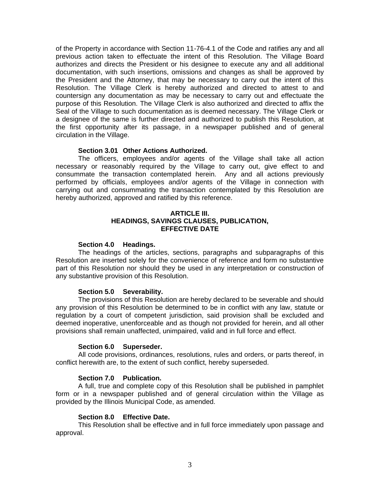of the Property in accordance with Section 11-76-4.1 of the Code and ratifies any and all previous action taken to effectuate the intent of this Resolution. The Village Board authorizes and directs the President or his designee to execute any and all additional documentation, with such insertions, omissions and changes as shall be approved by the President and the Attorney, that may be necessary to carry out the intent of this Resolution. The Village Clerk is hereby authorized and directed to attest to and countersign any documentation as may be necessary to carry out and effectuate the purpose of this Resolution. The Village Clerk is also authorized and directed to affix the Seal of the Village to such documentation as is deemed necessary. The Village Clerk or a designee of the same is further directed and authorized to publish this Resolution, at the first opportunity after its passage, in a newspaper published and of general circulation in the Village.

## **Section 3.01 Other Actions Authorized.**

The officers, employees and/or agents of the Village shall take all action necessary or reasonably required by the Village to carry out, give effect to and consummate the transaction contemplated herein. Any and all actions previously performed by officials, employees and/or agents of the Village in connection with carrying out and consummating the transaction contemplated by this Resolution are hereby authorized, approved and ratified by this reference.

# **ARTICLE III. HEADINGS, SAVINGS CLAUSES, PUBLICATION, EFFECTIVE DATE**

#### **Section 4.0 Headings.**

The headings of the articles, sections, paragraphs and subparagraphs of this Resolution are inserted solely for the convenience of reference and form no substantive part of this Resolution nor should they be used in any interpretation or construction of any substantive provision of this Resolution.

## **Section 5.0 Severability.**

The provisions of this Resolution are hereby declared to be severable and should any provision of this Resolution be determined to be in conflict with any law, statute or regulation by a court of competent jurisdiction, said provision shall be excluded and deemed inoperative, unenforceable and as though not provided for herein, and all other provisions shall remain unaffected, unimpaired, valid and in full force and effect.

## **Section 6.0 Superseder.**

All code provisions, ordinances, resolutions, rules and orders, or parts thereof, in conflict herewith are, to the extent of such conflict, hereby superseded.

## **Section 7.0 Publication.**

A full, true and complete copy of this Resolution shall be published in pamphlet form or in a newspaper published and of general circulation within the Village as provided by the Illinois Municipal Code, as amended.

## **Section 8.0 Effective Date.**

This Resolution shall be effective and in full force immediately upon passage and approval.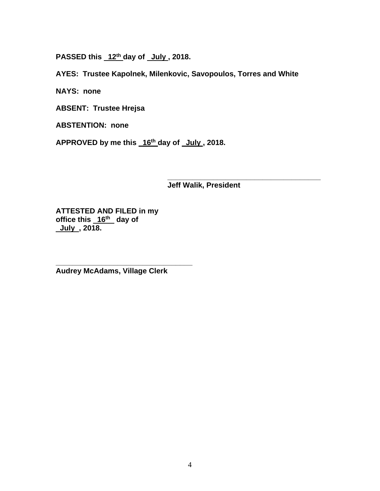**PASSED this 12th day of July , 2018.**

**AYES: Trustee Kapolnek, Milenkovic, Savopoulos, Torres and White**

**NAYS: none**

**ABSENT: Trustee Hrejsa**

**ABSTENTION: none**

**APPROVED by me this 16th day of July , 2018.**

**\_\_\_\_\_\_\_\_\_\_\_\_\_\_\_\_\_\_\_\_\_\_\_\_\_\_\_\_\_\_\_\_\_\_\_\_\_ Jeff Walik, President**

**ATTESTED AND FILED in my office this 16th day of July , 2018.**

**Audrey McAdams, Village Clerk**

**\_\_\_\_\_\_\_\_\_\_\_\_\_\_\_\_\_\_\_\_\_\_\_\_\_\_\_\_\_\_\_\_\_**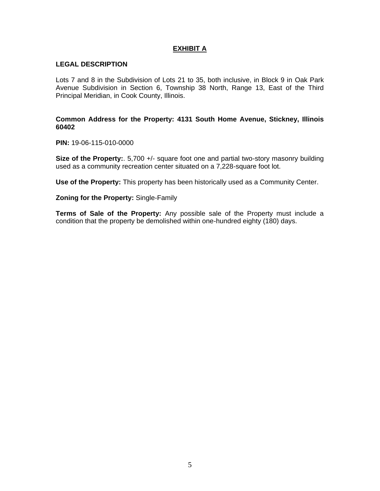# **EXHIBIT A**

## **LEGAL DESCRIPTION**

Lots 7 and 8 in the Subdivision of Lots 21 to 35, both inclusive, in Block 9 in Oak Park Avenue Subdivision in Section 6, Township 38 North, Range 13, East of the Third Principal Meridian, in Cook County, Illinois.

## **Common Address for the Property: 4131 South Home Avenue, Stickney, Illinois 60402**

**PIN:** 19-06-115-010-0000

**Size of the Property:.** 5,700 +/- square foot one and partial two-story masonry building used as a community recreation center situated on a 7,228-square foot lot.

**Use of the Property:** This property has been historically used as a Community Center.

**Zoning for the Property:** Single-Family

**Terms of Sale of the Property:** Any possible sale of the Property must include a condition that the property be demolished within one-hundred eighty (180) days.